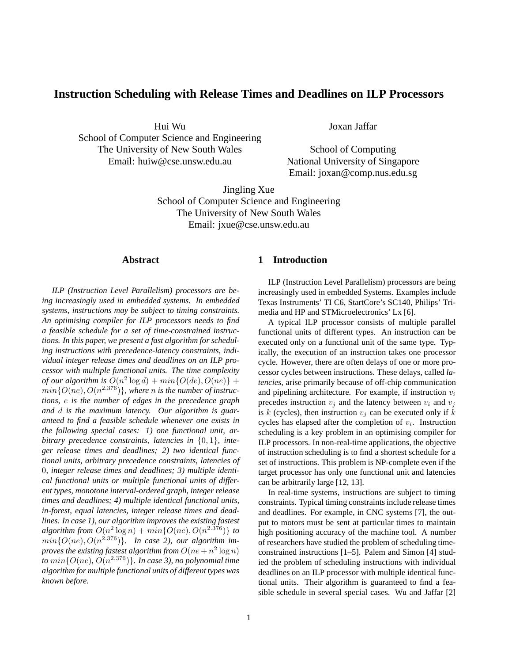# **Instruction Scheduling with Release Times and Deadlines on ILP Processors**

Hui Wu

School of Computer Science and Engineering The University of New South Wales Email: huiw@cse.unsw.edu.au

Joxan Jaffar

School of Computing National University of Singapore Email: joxan@comp.nus.edu.sg

Jingling Xue School of Computer Science and Engineering The University of New South Wales Email: jxue@cse.unsw.edu.au

### **Abstract**

*ILP (Instruction Level Parallelism) processors are being increasingly used in embedded systems. In embedded systems, instructions may be subject to timing constraints. An optimising compiler for ILP processors needs to find a feasible schedule for a set of time-constrained instructions. In this paper, we present a fast algorithm for scheduling instructions with precedence-latency constraints, individual integer release times and deadlines on an ILP processor with multiple functional units. The time complexity of our algorithm is*  $O(n^2 \log d) + min\{O(de), O(ne)\}$  +  $min\{O(ne), O(n^{2.376})\}$ , where  $n$  is the number of instruc*tions,* e *is the number of edges in the precedence graph and* d *is the maximum latency. Our algorithm is guaranteed to find a feasible schedule whenever one exists in the following special cases: 1) one functional unit, arbitrary precedence constraints, latencies in* {0, 1}*, integer release times and deadlines; 2) two identical functional units, arbitrary precedence constraints, latencies of* 0*, integer release times and deadlines; 3) multiple identical functional units or multiple functional units of different types, monotone interval-ordered graph, integer release times and deadlines; 4) multiple identical functional units, in-forest, equal latencies, integer release times and deadlines. In case 1), our algorithm improves the existing fastest*  $algorithm from O(n^2 \log n) + min\{O(ne), O(n^{2.376})\}$  *to*  $min\{O(ne), O(n^{2.376})\}$ . In case 2), our algorithm improves the existing fastest algorithm from  $O(ne + n^2 \log n)$ *to* min{O(ne)*,* O(n <sup>2</sup>.376)}*. In case 3), no polynomial time algorithm for multiple functional units of different types was known before.*

### **1 Introduction**

ILP (Instruction Level Parallelism) processors are being increasingly used in embedded Systems. Examples include Texas Instruments' TI C6, StartCore's SC140, Philips' Trimedia and HP and STMicroelectronics' Lx [6].

A typical ILP processor consists of multiple parallel functional units of different types. An instruction can be executed only on a functional unit of the same type. Typically, the execution of an instruction takes one processor cycle. However, there are often delays of one or more processor cycles between instructions. These delays, called *latencies*, arise primarily because of off-chip communication and pipelining architecture. For example, if instruction  $v_i$ precedes instruction  $v_i$  and the latency between  $v_i$  and  $v_j$ is k (cycles), then instruction  $v_i$  can be executed only if k cycles has elapsed after the completion of  $v_i$ . Instruction scheduling is a key problem in an optimising compiler for ILP processors. In non-real-time applications, the objective of instruction scheduling is to find a shortest schedule for a set of instructions. This problem is NP-complete even if the target processor has only one functional unit and latencies can be arbitrarily large [12, 13].

In real-time systems, instructions are subject to timing constraints. Typical timing constraints include release times and deadlines. For example, in CNC systems [7], the output to motors must be sent at particular times to maintain high positioning accuracy of the machine tool. A number of researchers have studied the problem of scheduling timeconstrained instructions [1–5]. Palem and Simon [4] studied the problem of scheduling instructions with individual deadlines on an ILP processor with multiple identical functional units. Their algorithm is guaranteed to find a feasible schedule in several special cases. Wu and Jaffar [2]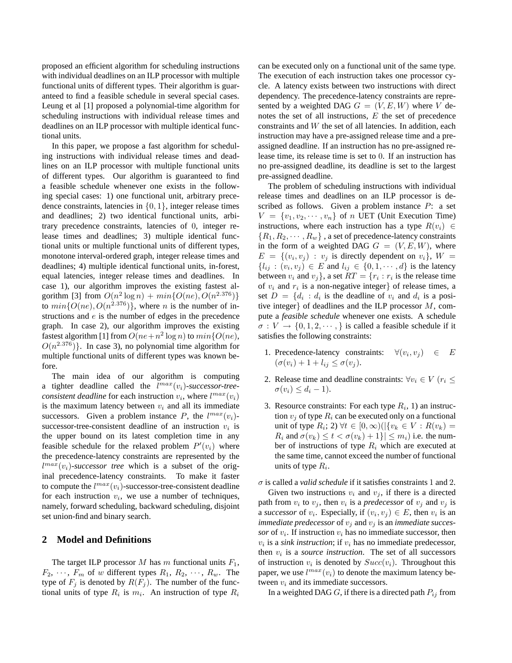proposed an efficient algorithm for scheduling instructions with individual deadlines on an ILP processor with multiple functional units of different types. Their algorithm is guaranteed to find a feasible schedule in several special cases. Leung et al [1] proposed a polynomial-time algorithm for scheduling instructions with individual release times and deadlines on an ILP processor with multiple identical functional units.

In this paper, we propose a fast algorithm for scheduling instructions with individual release times and deadlines on an ILP processor with multiple functional units of different types. Our algorithm is guaranteed to find a feasible schedule whenever one exists in the following special cases: 1) one functional unit, arbitrary precedence constraints, latencies in  $\{0, 1\}$ , integer release times and deadlines; 2) two identical functional units, arbitrary precedence constraints, latencies of 0, integer release times and deadlines; 3) multiple identical functional units or multiple functional units of different types, monotone interval-ordered graph, integer release times and deadlines; 4) multiple identical functional units, in-forest, equal latencies, integer release times and deadlines. In case 1), our algorithm improves the existing fastest algorithm [3] from  $O(n^2 \log n) + min\{O(ne), O(n^{2.376})\}$ to  $min\{O(ne), O(n^{2.376})\}$ , where *n* is the number of instructions and e is the number of edges in the precedence graph. In case 2), our algorithm improves the existing fastest algorithm [1] from  $O(ne + n^2 \log n)$  to  $min\{O(ne),$  $O(n^{2.376})$ . In case 3), no polynomial time algorithm for multiple functional units of different types was known before.

The main idea of our algorithm is computing a tighter deadline called the  $l^{max}(v_i)$ -successor-tree*consistent deadline* for each instruction  $v_i$ , where  $l^{max}(v_i)$ is the maximum latency between  $v_i$  and all its immediate successors. Given a problem instance P, the  $l^{max}(v_i)$ successor-tree-consistent deadline of an instruction  $v_i$  is the upper bound on its latest completion time in any feasible schedule for the relaxed problem  $P'(v_i)$  where the precedence-latency constraints are represented by the  $l^{max}(v_i)$ -successor tree which is a subset of the original precedence-latency constraints. To make it faster to compute the  $l^{max}(v_i)$ -successor-tree-consistent deadline for each instruction  $v_i$ , we use a number of techniques, namely, forward scheduling, backward scheduling, disjoint set union-find and binary search.

### **2 Model and Definitions**

The target ILP processor M has m functional units  $F_1$ ,  $F_2, \dots, F_m$  of w different types  $R_1, R_2, \dots, R_w$ . The type of  $F_j$  is denoted by  $R(F_j)$ . The number of the functional units of type  $R_i$  is  $m_i$ . An instruction of type  $R_i$ 

can be executed only on a functional unit of the same type. The execution of each instruction takes one processor cycle. A latency exists between two instructions with direct dependency. The precedence-latency constraints are represented by a weighted DAG  $G = (V, E, W)$  where V denotes the set of all instructions, E the set of precedence constraints and W the set of all latencies. In addition, each instruction may have a pre-assigned release time and a preassigned deadline. If an instruction has no pre-assigned release time, its release time is set to 0. If an instruction has no pre-assigned deadline, its deadline is set to the largest pre-assigned deadline.

The problem of scheduling instructions with individual release times and deadlines on an ILP processor is described as follows. Given a problem instance  $P$ : a set  $V = \{v_1, v_2, \dots, v_n\}$  of n UET (Unit Execution Time) instructions, where each instruction has a type  $R(v_i) \in$  ${R_1, R_2, \cdots, R_w}$ , a set of precedence-latency constraints in the form of a weighted DAG  $G = (V, E, W)$ , where  $E = \{(v_i, v_j) : v_j \text{ is directly dependent on } v_i\}, W =$  $\{l_{ij} : (v_i, v_j) \in E \text{ and } l_{ij} \in \{0, 1, \dots, d\} \text{ is the latency}$ between  $v_i$  and  $v_j$ , a set  $RT = \{r_i : r_i$  is the release time of  $v_i$  and  $r_i$  is a non-negative integer} of release times, a set  $D = \{d_i : d_i$  is the deadline of  $v_i$  and  $d_i$  is a positive integer of deadlines and the ILP processor  $M$ , compute a *feasible schedule* whenever one exists. A schedule  $\sigma: V \to \{0, 1, 2, \dots \}$  is called a feasible schedule if it satisfies the following constraints:

- 1. Precedence-latency constraints:  $\forall (v_i, v_j) \in E$  $(\sigma(v_i) + 1 + l_{ij} \leq \sigma(v_j)).$
- 2. Release time and deadline constraints:  $\forall v_i \in V \ (r_i \leq$  $\sigma(v_i) \leq d_i - 1$ .
- 3. Resource constraints: For each type  $R_i$ , 1) an instruction  $v_i$  of type  $R_i$  can be executed only on a functional unit of type  $R_i$ ; 2)  $\forall t \in [0, \infty) (\vert \{v_k \in V : R(v_k) = \}$  $R_i$  and  $\sigma(v_k) \leq t < \sigma(v_k) + 1$ }  $\leq m_i$  i.e. the number of instructions of type  $R_i$  which are executed at the same time, cannot exceed the number of functional units of type  $R_i$ .
- $\sigma$  is called a *valid schedule* if it satisfies constraints 1 and 2. Given two instructions  $v_i$  and  $v_j$ , if there is a directed path from  $v_i$  to  $v_j$ , then  $v_i$  is a *predecessor* of  $v_j$  and  $v_j$  is a *successor* of  $v_i$ . Especially, if  $(v_i, v_j) \in E$ , then  $v_i$  is an *immediate predecessor* of  $v_i$  and  $v_j$  is an *immediate succes*sor of  $v_i$ . If instruction  $v_i$  has no immediate successor, then  $v_i$  is a *sink instruction*; if  $v_i$  has no immediate predecessor, then  $v_i$  is a *source instruction*. The set of all successors of instruction  $v_i$  is denoted by  $Succ(v_i)$ . Throughout this paper, we use  $l^{max}(v_i)$  to denote the maximum latency between  $v_i$  and its immediate successors.

In a weighted DAG  $G$ , if there is a directed path  $P_{ij}$  from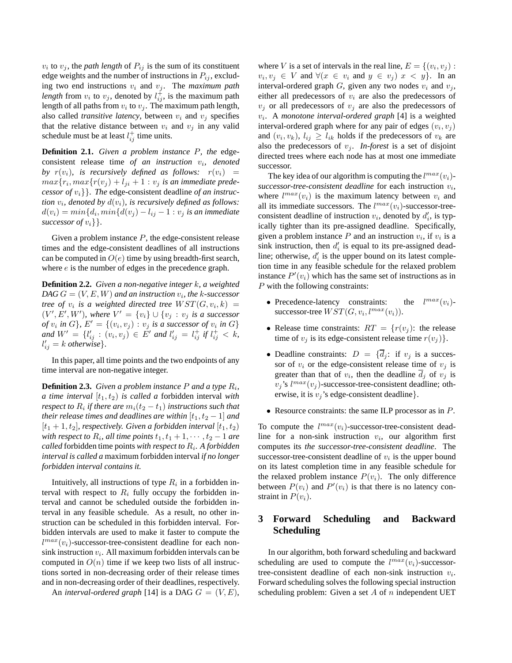$v_i$  to  $v_j$ , the *path length* of  $P_{ij}$  is the sum of its constituent edge weights and the number of instructions in  $P_{ij}$ , excluding two end instructions  $v_i$  and  $v_j$ . The *maximum path length* from  $v_i$  to  $v_j$ , denoted by  $l_{ij}^{\dagger}$ , is the maximum path length of all paths from  $v_i$  to  $v_j$ . The maximum path length, also called *transitive latency*, between  $v_i$  and  $v_j$  specifies that the relative distance between  $v_i$  and  $v_j$  in any valid schedule must be at least  $l_{ij}^{+}$  time units.

**Definition 2.1.** *Given a problem instance* P*, the* edgeconsistent release time of an instruction  $v_i$ , denoted *by*  $r(v_i)$ *, is recursively defined as follows:*  $r(v_i)$  =  $max{r_i, max{r(v_j) + l_{ji} + 1 : v_j \text{ is an immediate prede-}}$ *cessor of* vi}}*. The* edge-consistent deadline *of an instruction*  $v_i$ , denoted by  $d(v_i)$ , is recursively defined as follows:  $d(v_i) = min\{d_i, min\{d(v_j) - l_{ij} - 1 : v_j \text{ is an immediate}\}$ *successor of*  $v_i$  } }.

Given a problem instance  $P$ , the edge-consistent release times and the edge-consistent deadlines of all instructions can be computed in  $O(e)$  time by using breadth-first search, where  $e$  is the number of edges in the precedence graph.

**Definition 2.2.** *Given a non-negative integer* k*, a weighted*  $DAGG = (V, E, W)$  and an instruction  $v_i$ , the  $k$ -successor *tree of*  $v_i$  *is a weighted directed tree*  $WST(G, v_i, k)$  =  $(V', E', W')$ , where  $V' = \{v_i\} \cup \{v_j : v_j$  is a successor *of*  $v_i$  in  $G$ ,  $E' = \{(v_i, v_j) : v_j$  *is a successor of*  $v_i$  *in*  $G$ } *and*  $W' = \{l'_{ij} : (v_i, v_j) \in E' \text{ and } l'_{ij} = l^+_{ij} \text{ if } l^+_{ij} < k,$  $l'_{ij} = k$  *otherwise*}.

In this paper, all time points and the two endpoints of any time interval are non-negative integer.

**Definition 2.3.** *Given a problem instance* P *and a type* R<sup>i</sup> *, a time interval*  $[t_1, t_2)$  *is called a forbidden interval with respect to*  $R_i$  *if there are*  $m_i(t_2-t_1)$  *instructions such that their release times and deadlines are within*  $[t_1, t_2 - 1]$  *and*  $[t_1 + 1, t_2]$ , respectively. Given a forbidden interval  $[t_1, t_2]$ *with respect to*  $R_i$ *, all time points*  $t_1, t_1 + 1, \cdots, t_2 - 1$  *are called* forbidden time points *with respect to* R<sup>i</sup> *. A forbidden interval is called a* maximum forbidden interval *if no longer forbidden interval contains it.*

Intuitively, all instructions of type  $R_i$  in a forbidden interval with respect to  $R_i$  fully occupy the forbidden interval and cannot be scheduled outside the forbidden interval in any feasible schedule. As a result, no other instruction can be scheduled in this forbidden interval. Forbidden intervals are used to make it faster to compute the  $l^{max}(v_i)$ -successor-tree-consistent deadline for each nonsink instruction  $v_i$ . All maximum forbidden intervals can be computed in  $O(n)$  time if we keep two lists of all instructions sorted in non-decreasing order of their release times and in non-decreasing order of their deadlines, respectively.

An *interval-ordered graph* [14] is a DAG  $G = (V, E)$ ,

where V is a set of intervals in the real line,  $E = \{(v_i, v_j) :$  $v_i, v_j \in V$  and  $\forall (x \in v_i \text{ and } y \in v_j) \ x \lt y$ . In an interval-ordered graph  $G$ , given any two nodes  $v_i$  and  $v_j$ , either all predecessors of  $v_i$  are also the predecessors of  $v_j$  or all predecessors of  $v_j$  are also the predecessors of vi . A *monotone interval-ordered graph* [4] is a weighted interval-ordered graph where for any pair of edges  $(v_i, v_j)$ and  $(v_i, v_k)$ ,  $l_{ij} \geq l_{ik}$  holds if the predecessors of  $v_k$  are also the predecessors of  $v_j$ . *In-forest* is a set of disjoint directed trees where each node has at most one immediate successor.

The key idea of our algorithm is computing the  $l^{max}(v_i)$  $successor-tree-consistent\ deadline\ for\ each\ instruction\  $v_i$ ,$ where  $l^{max}(v_i)$  is the maximum latency between  $v_i$  and all its immediate successors. The  $l^{max}(v_i)$ -successor-treeconsistent deadline of instruction  $v_i$ , denoted by  $d'_i$ , is typically tighter than its pre-assigned deadline. Specifically, given a problem instance  $P$  and an instruction  $v_i$ , if  $v_i$  is a sink instruction, then  $d_i$  is equal to its pre-assigned deadline; otherwise,  $d_i$  is the upper bound on its latest completion time in any feasible schedule for the relaxed problem instance  $P'(v_i)$  which has the same set of instructions as in P with the following constraints:

- Precedence-latency constraints: the  $l^{max}(v_i)$ successor-tree  $WST(G, v_i, l^{max}(v_i)).$
- Release time constraints:  $RT = \{r(v_i):$  the release time of  $v_j$  is its edge-consistent release time  $r(v_j)$ .
- Deadline constraints:  $D = {\overline{d}}_j$ : if  $v_j$  is a successor of  $v_i$  or the edge-consistent release time of  $v_j$  is greater than that of  $v_i$ , then the deadline  $d_j$  of  $v_j$  is  $v_j$ 's  $l^{max}(v_j)$ -successor-tree-consistent deadline; otherwise, it is  $v_j$ 's edge-consistent deadline}.
- Resource constraints: the same ILP processor as in  $P$ .

To compute the  $l^{max}(v_i)$ -successor-tree-consistent deadline for a non-sink instruction  $v_i$ , our algorithm first computes its *the successor-tree-consistent deadline*. The successor-tree-consistent deadline of  $v_i$  is the upper bound on its latest completion time in any feasible schedule for the relaxed problem instance  $P(v_i)$ . The only difference between  $P(v_i)$  and  $P'(v_i)$  is that there is no latency constraint in  $P(v_i)$ .

# **3 Forward Scheduling and Backward Scheduling**

In our algorithm, both forward scheduling and backward scheduling are used to compute the  $l^{max}(v_i)$ -successortree-consistent deadline of each non-sink instruction  $v_i$ . Forward scheduling solves the following special instruction scheduling problem: Given a set  $A$  of  $n$  independent UET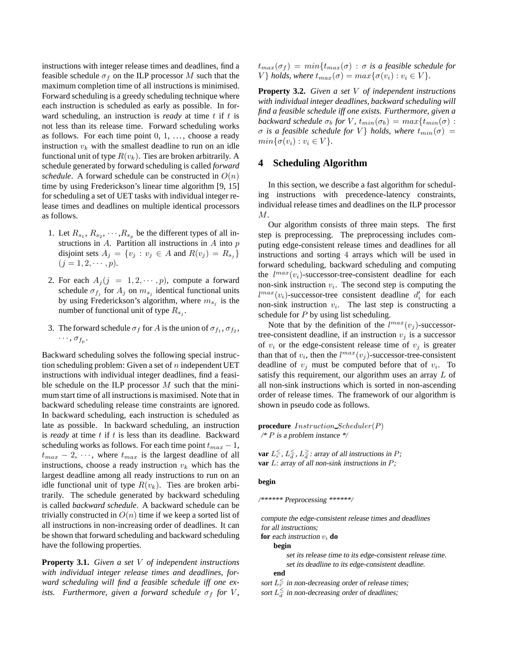instructions with integer release times and deadlines, find a feasible schedule  $\sigma_f$  on the ILP processor M such that the maximum completion time of all instructions is minimised. Forward scheduling is a greedy scheduling technique where each instruction is scheduled as early as possible. In forward scheduling, an instruction is *ready* at time t if t is not less than its release time. Forward scheduling works as follows. For each time point  $0, 1, \ldots$ , choose a ready instruction  $v_k$  with the smallest deadline to run on an idle functional unit of type  $R(v_k)$ . Ties are broken arbitrarily. A schedule generated by forward scheduling is called *forward schedule*. A forward schedule can be constructed in  $O(n)$ time by using Frederickson's linear time algorithm [9, 15] for scheduling a set of UET tasks with individual integer release times and deadlines on multiple identical processors as follows.

- 1. Let  $R_{s_1}, R_{s_2}, \cdots, R_{s_p}$  be the different types of all instructions in  $A$ . Partition all instructions in  $A$  into  $p$ disjoint sets  $A_j = \{v_j : v_j \in A \text{ and } R(v_j) = R_{s_j}\}\$  $(j = 1, 2, \cdots, p).$
- 2. For each  $A_j$  ( $j = 1, 2, \dots, p$ ), compute a forward schedule  $\sigma_{f_j}$  for  $A_j$  on  $m_{s_j}$  identical functional units by using Frederickson's algorithm, where  $m_{s_j}$  is the number of functional unit of type  $R_{s_j}$ .
- 3. The forward schedule  $\sigma_f$  for A is the union of  $\sigma_{f_1}, \sigma_{f_2}$ ,  $\cdots$ ,  $\sigma_{f_p}$ .

Backward scheduling solves the following special instruction scheduling problem: Given a set of  $n$  independent UET instructions with individual integer deadlines, find a feasible schedule on the ILP processor  $M$  such that the minimum start time of all instructions is maximised. Note that in backward scheduling release time constraints are ignored. In backward scheduling, each instruction is scheduled as late as possible. In backward scheduling, an instruction is *ready* at time t if t is less than its deadline. Backward scheduling works as follows. For each time point  $t_{max} - 1$ ,  $t_{max}$  – 2,  $\cdots$ , where  $t_{max}$  is the largest deadline of all instructions, choose a ready instruction  $v_k$  which has the largest deadline among all ready instructions to run on an idle functional unit of type  $R(v_k)$ . Ties are broken arbitrarily. The schedule generated by backward scheduling is called *backward schedule*. A backward schedule can be trivially constructed in  $O(n)$  time if we keep a sorted list of all instructions in non-increasing order of deadlines. It can be shown that forward scheduling and backward scheduling have the following properties.

**Property 3.1.** *Given a set* V *of independent instructions with individual integer release times and deadlines, forward scheduling will find a feasible schedule iff one exists.* Furthermore, given a forward schedule  $\sigma_f$  for *V*,

 $t_{max}(\sigma_f) = min\{t_{max}(\sigma) : \sigma \text{ is a feasible schedule for }$ V} *holds, where*  $t_{max}(\sigma) = max\{\sigma(v_i) : v_i \in V\}.$ 

**Property 3.2.** *Given a set* V *of independent instructions with individual integer deadlines, backward scheduling will find a feasible schedule iff one exists. Furthermore, given a backward schedule*  $\sigma_b$  *for V*,  $t_{min}(\sigma_b) = max\{t_{min}(\sigma)$ :  $\sigma$  *is a feasible schedule for*  $V$ *} holds, where*  $t_{min}(\sigma)$  =  $min{\{\sigma(v_i): v_i \in V\}}$ .

### **4 Scheduling Algorithm**

In this section, we describe a fast algorithm for scheduling instructions with precedence-latency constraints, individual release times and deadlines on the ILP processor  $M$ .

Our algorithm consists of three main steps. The first step is preprocessing. The preprocessing includes computing edge-consistent release times and deadlines for all instructions and sorting 4 arrays which will be used in forward scheduling, backward scheduling and computing the  $l^{max}(v_i)$ -successor-tree-consistent deadline for each non-sink instruction  $v_i$ . The second step is computing the  $l^{max}(v_i)$ -successor-tree consistent deadline  $d'_i$  for each non-sink instruction  $v_i$ . The last step is constructing a schedule for  $P$  by using list scheduling.

Note that by the definition of the  $l^{max}(v_j)$ -successortree-consistent deadline, if an instruction  $v_j$  is a successor of  $v_i$  or the edge-consistent release time of  $v_j$  is greater than that of  $v_i$ , then the  $l^{max}(v_j)$ -successor-tree-consistent deadline of  $v_j$  must be computed before that of  $v_i$ . To satisfy this requirement, our algorithm uses an array L of all non-sink instructions which is sorted in non-ascending order of release times. The framework of our algorithm is shown in pseudo code as follows.

**procedure** Instruction Scheduler(P)  $\frac{1}{2}$  is a problem instance  $\frac{1}{2}$ 

**var**  $L_r^{\leq}$ ,  $L_d^{\geq}$  : array of all instructions in P; **var** L: array of all non-sink instructions in P;

#### **begin**

/\*\*\*\*\*\* Preprocessing \*\*\*\*\*\*/

compute the edge-consistent release times and deadlines for all instructions;

**for** each instruction  $v_i$  **do** 

**begin**

set its release time to its edge-consistent release time. set its deadline to its edge-consistent deadline.

# **end**

sort  $L_r^{\leq}$  in non-decreasing order of release times; sort  $L_d^{\leq}$  in non-decreasing order of deadlines;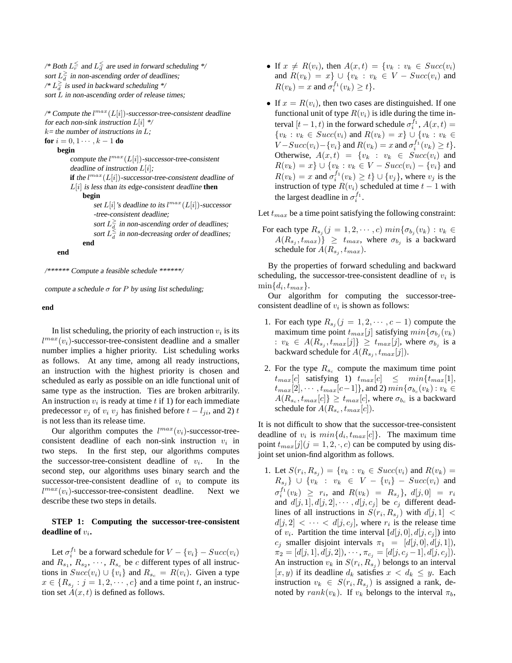/\* Both  $L_r^{\leq}$  and  $L_d^{\leq}$  are used in forward scheduling \*/ sort  $L_d^{\geq}$  in non-ascending order of deadlines; /\*  $L_d^{\geq}$  is used in backward scheduling \*/ sort L in non-ascending order of release times;

/\* Compute the  $l^{max}(L[i])$ -successor-tree-consistent deadline for each non-sink instruction  $L[i]$  \*/  $k=$  the number of instructions in  $L$ ; **for**  $i = 0, 1 \cdots, k - 1$  **do begin** compute the  $l^{max}(L[i])$ -successor-tree-consistent deadline of instruction  $L[i]$ ; **if** the  $l^{max}(L[i])$ -successor-tree-consistent deadline of  $L[i]$  is less than its edge-consistent deadline **then begin** set  $L[i]$ 's deadline to its  $l^{max}(L[i])$ -successor -tree-consistent deadline; sort  $L_d^{\geq}$  in non-ascending order of deadlines; sort  $L_d^{\leq}$  in non-decreasing order of deadlines; **end end**

/\*\*\*\*\*\* Compute <sup>a</sup> feasible schedule \*\*\*\*\*\*/

compute a schedule  $\sigma$  for P by using list scheduling;

**end**

In list scheduling, the priority of each instruction  $v_i$  is its  $l^{max}(v_i)$ -successor-tree-consistent deadline and a smaller number implies a higher priority. List scheduling works as follows. At any time, among all ready instructions, an instruction with the highest priority is chosen and scheduled as early as possible on an idle functional unit of same type as the instruction. Ties are broken arbitrarily. An instruction  $v_i$  is ready at time t if 1) for each immediate predecessor  $v_j$  of  $v_i$   $v_j$  has finished before  $t - l_{ji}$ , and 2) t is not less than its release time.

Our algorithm computes the  $l^{max}(v_i)$ -successor-treeconsistent deadline of each non-sink instruction  $v_i$  in two steps. In the first step, our algorithms computes the successor-tree-consistent deadline of  $v_i$ . . In the second step, our algorithms uses binary search and the successor-tree-consistent deadline of  $v_i$  to compute its  $l^{max}(v_i)$ -successor-tree-consistent deadline. Next we describe these two steps in details.

# **STEP 1: Computing the successor-tree-consistent deadline** of  $v_i$ .

Let  $\sigma_i^{f_1}$  be a forward schedule for  $V - \{v_i\} - Succ(v_i)$ and  $R_{s_1}, R_{s_2}, \cdots, R_{s_c}$  be c different types of all instructions in  $Succ(v_i) \cup \{v_i\}$  and  $R_{s_c} = R(v_i)$ . Given a type  $x \in \{R_{s_j} : j = 1, 2, \dots, c\}$  and a time point t, an instruction set  $A(x, t)$  is defined as follows.

- If  $x \neq R(v_i)$ , then  $A(x, t) = \{v_k : v_k \in Succ(v_i)\}$ and  $R(v_k) = x$   $\cup$  { $v_k : v_k \in V - Succ(v_i)$  and  $R(v_k) = x$  and  $\sigma_i^{f_1}(v_k) \ge t$ .
- If  $x = R(v_i)$ , then two cases are distinguished. If one functional unit of type  $R(v_i)$  is idle during the time interval  $[t-1, t)$  in the forward schedule  $\sigma_i^{f_1}$ ,  $A(x, t)$  =  ${v_k : v_k \in Succ(v_i) \text{ and } R(v_k) = x} \cup {v_k : v_k \in ...}$  $V-Succ(v_i)-\{v_i\}$  and  $R(v_k)=x$  and  $\sigma_i^{f_1}(v_k)\geq t\}.$ Otherwise,  $A(x,t) = \{v_k : v_k \in Succ(v_i) \text{ and }$  $R(v_k) = x$   $\cup \{v_k : v_k \in V - Succ(v_i) - \{v_i\}$  and  $R(v_k) = x$  and  $\sigma_i^{f_1}(v_k) \ge t$   $\} \cup \{v_j\}$ , where  $v_j$  is the instruction of type  $R(v_i)$  scheduled at time  $t - 1$  with the largest deadline in  $\sigma_i^{f_1}$ .

Let  $t_{max}$  be a time point satisfying the following constraint:

For each type  $R_{s_j}(j=1,2,\cdots,c)$   $min\{\sigma_{b_j}(v_k): v_k \in$  $A(R_{s_j}, t_{max})\} \geq t_{max}$ , where  $\sigma_{b_j}$  is a backward schedule for  $A(R_{s_j}, t_{max})$ .

By the properties of forward scheduling and backward scheduling, the successor-tree-consistent deadline of  $v_i$  is  $\min\{d_i, t_{max}\}.$ 

Our algorithm for computing the successor-treeconsistent deadline of  $v_i$  is shown as follows:

- 1. For each type  $R_{s_j}(j = 1, 2, \dots, c-1)$  compute the maximum time point  $t_{max}[j]$  satisfying  $min\{\sigma_{b_j}(v_k)\}$ :  $v_k \in A(R_{s_j}, t_{max}[j]) \ge t_{max}[j]$ , where  $\sigma_{b_j}$  is a backward schedule for  $A(R_{s_j}, t_{max}[j]).$
- 2. For the type  $R_{s_c}$  compute the maximum time point  $t_{max}[c]$  satisfying 1)  $t_{max}[c] \leq min\{t_{max}[1],\}$  $t_{max}[2], \cdots, t_{max}[c-1] \}$ , and 2)  $min\{\sigma_{b_c}(v_k): v_k \in$  $A(R_{s_c}, t_{max}[c]) \ge t_{max}[c]$ , where  $\sigma_{b_c}$  is a backward schedule for  $A(R_{s_c}, t_{max}[c])$ .

It is not difficult to show that the successor-tree-consistent deadline of  $v_i$  is  $min{d_i, t_{max}[c]}$ . The maximum time point  $t_{max}[j](j = 1, 2, \cdot, c)$  can be computed by using disjoint set union-find algorithm as follows.

1. Let  $S(r_i, R_{s_j}) = \{v_k : v_k \in Succ(v_i) \text{ and } R(v_k) = \}$  $R_{s_i}$   $\}$   $\cup$  { $v_k$  :  $v_k \in V - \{v_i\} - Succ(v_i)$  and  $\sigma_i^{f_1}(v_k) \geq r_i$ , and  $R(v_k) = R_{s_j}$ ,  $d[j, 0] = r_i$ and  $d[j, 1], d[j, 2], \cdots, d[j, c_j]$  be  $c_j$  different deadlines of all instructions in  $S(r_i, R_{s_j})$  with  $d[j, 1]$  <  $d[j, 2] < \cdots < d[j, c_j]$ , where  $r_i$  is the release time of  $v_i$ . Partition the time interval  $[d[j, 0], d[j, c_j])$  into  $c_j$  smaller disjoint intervals  $\pi_1 = [d[j, 0], d[j, 1]),$  $\pi_2 = [d[j, 1], d[j, 2]), \cdots, \pi_{c_j} = [d[j, c_j - 1], d[j, c_j]).$ An instruction  $v_k$  in  $S(r_i, R_{s_j})$  belongs to an interval  $[x, y)$  if its deadline  $d_k$  satisfies  $x < d_k \leq y$ . Each instruction  $v_k \in S(r_i, R_{s_j})$  is assigned a rank, denoted by  $rank(v_k)$ . If  $v_k$  belongs to the interval  $\pi_b$ ,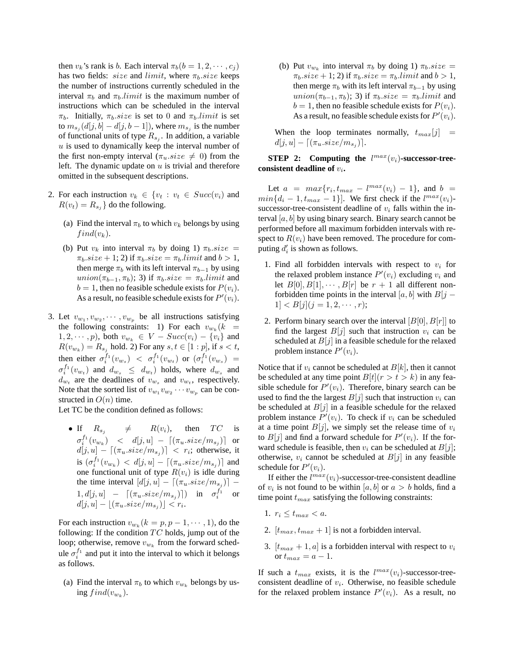then  $v_k$ 's rank is b. Each interval  $\pi_b(b = 1, 2, \dots, c_i)$ has two fields: size and limit, where  $\pi_b$  size keeps the number of instructions currently scheduled in the interval  $\pi_b$  and  $\pi_b$ .*limit* is the maximum number of instructions which can be scheduled in the interval  $\pi_b$ . Initially,  $\pi_b.size$  is set to 0 and  $\pi_b-limit$  is set to  $m_{s_j}(d[j,b] - d[j,b-1])$ , where  $m_{s_j}$  is the number of functional units of type  $R_{s_j}$ . In addition, a variable  $u$  is used to dynamically keep the interval number of the first non-empty interval  $(\pi_u.size \neq 0)$  from the left. The dynamic update on  $u$  is trivial and therefore omitted in the subsequent descriptions.

- 2. For each instruction  $v_k \in \{v_t : v_t \in Succ(v_i) \text{ and }$  $R(v_t) = R_{s_i}$  } do the following.
	- (a) Find the interval  $\pi_b$  to which  $v_k$  belongs by using  $find(v_k).$
	- (b) Put  $v_k$  into interval  $\pi_b$  by doing 1)  $\pi_b.size =$  $\pi_b.size + 1$ ; 2) if  $\pi_b.size = \pi_b-limit$  and  $b > 1$ , then merge  $\pi_b$  with its left interval  $\pi_{b-1}$  by using union( $\pi_{b-1}, \pi_b$ ); 3) if  $\pi_b.size = \pi_b-limit$  and  $b = 1$ , then no feasible schedule exists for  $P(v_i)$ . As a result, no feasible schedule exists for  $P'(v_i)$ .
- 3. Let  $v_{w_1}, v_{w_2}, \cdots, v_{w_p}$  be all instructions satisfying the following constraints: 1) For each  $v_{w_k}(k)$  =  $1, 2, \cdots, p$ , both  $v_{w_k} \in V - Succ(v_i) - \{v_i\}$  and  $R(v_{w_k}) = R_{s_j}$  hold. 2) For any  $s, t \in [1:p]$ , if  $s < t$ , then either  $\sigma_i^{f_1}(v_{w_s}) \ < \ \sigma_i^{f_1}(v_{w_t})$  or  $(\sigma_i^{f_1}(v_{w_s}) =$  $\sigma_i^{f_1}(v_{w_t})$  and  $d_{w_s} \leq d_{w_t}$ ) holds, where  $d_{w_s}$  and  $d_{w_t}$  are the deadlines of  $v_{w_s}$  and  $v_{w_t}$ , respectively. Note that the sorted list of  $v_{w_1}v_{w_2}\cdots v_{w_p}$  can be constructed in  $O(n)$  time.

Let TC be the condition defined as follows:

• If  $R_{s_j}$   $\neq$   $R(v_i)$ , then TC is  $\sigma_i^{f_1}(v_{w_k}) \quad < \quad d[j,u] \; - \; \lceil(\pi_u.size/m_{s_j})\rceil \; \; \; \text{or}$  $d[j, u] - \left[ (\pi_u.size / m_{s_j}) \right] \langle r_i;$  otherwise, it is  $(\sigma_i^{f_1}(v_{w_k}) < d[j, u] - \lceil (\pi_u.size / m_{s_j}) \rceil$  and one functional unit of type  $R(v_i)$  is idle during the time interval  $[d[j, u] - \lceil (\pi_u.size/m_{s_j}) \rceil 1, d[j, u]$  –  $\lceil (\pi_u.size / m_{s_j}) \rceil)$  in  $\sigma_i^{f_1}$  or  $d[j, u] - \lfloor (\pi_u.size / m_{s_j}) \rfloor < r_i.$ 

For each instruction  $v_{w_k}(k = p, p - 1, \dots, 1)$ , do the following: If the condition  $TC$  holds, jump out of the loop; otherwise, remove  $v_{w_k}$  from the forward schedule  $\sigma_i^{f_1}$  and put it into the interval to which it belongs as follows.

(a) Find the interval  $\pi_b$  to which  $v_{w_k}$  belongs by using  $find(v_{w_k})$ .

(b) Put  $v_{w_k}$  into interval  $\pi_b$  by doing 1)  $\pi_b.size =$  $\pi_b.size + 1; 2)$  if  $\pi_b.size = \pi_b-limit$  and  $b > 1$ , then merge  $\pi_b$  with its left interval  $\pi_{b-1}$  by using union( $\pi_{b-1}, \pi_b$ ); 3) if  $\pi_b.size = \pi_b-limit$  and  $b = 1$ , then no feasible schedule exists for  $P(v_i)$ . As a result, no feasible schedule exists for  $P'(v_i)$ .

When the loop terminates normally,  $t_{max}[j]$  =  $d[j, u] - \lceil (\pi_u.size / m_{s_j}) \rceil$ .

**STEP 2:** Computing the  $l^{max}(v_i)$ -successor-treeconsistent deadline of  $v_i$ .

Let  $a = max{r_i, t_{max} - l^{max}(v_i) - 1}$ , and  $b =$  $min{d_i - 1, t_{max} - 1}$ . We first check if the  $l^{max}(v_i)$ successor-tree-consistent deadline of  $v_i$  falls within the interval  $[a, b]$  by using binary search. Binary search cannot be performed before all maximum forbidden intervals with respect to  $R(v_i)$  have been removed. The procedure for computing  $d'_i$  is shown as follows.

- 1. Find all forbidden intervals with respect to  $v_i$  for the relaxed problem instance  $P'(v_i)$  excluding  $v_i$  and let  $B[0], B[1], \cdots, B[r]$  be  $r + 1$  all different nonforbidden time points in the interval [a, b] with  $B[j]$  –  $1 < B[j](j = 1, 2, \cdots, r);$
- 2. Perform binary search over the interval  $[B[0], B[r]]$  to find the largest  $B[j]$  such that instruction  $v_i$  can be scheduled at  $B[j]$  in a feasible schedule for the relaxed problem instance  $P'(v_i)$ .

Notice that if  $v_i$  cannot be scheduled at  $B[k]$ , then it cannot be scheduled at any time point  $B[t](r > t > k)$  in any feasible schedule for  $P'(v_i)$ . Therefore, binary search can be used to find the the largest  $B[j]$  such that instruction  $v_i$  can be scheduled at  $B[j]$  in a feasible schedule for the relaxed problem instance  $P'(v_i)$ . To check if  $v_i$  can be scheduled at a time point  $B[j]$ , we simply set the release time of  $v_i$ to  $B[j]$  and find a forward schedule for  $P'(v_i)$ . If the forward schedule is feasible, then  $v_i$  can be scheduled at  $B[j]$ ; otherwise,  $v_i$  cannot be scheduled at  $B[j]$  in any feasible schedule for  $P'(v_i)$ .

If either the  $l^{max}(v_i)$ -successor-tree-consistent deadline of  $v_i$  is not found to be within [a, b] or  $a > b$  holds, find a time point  $t_{max}$  satisfying the following constraints:

- 1.  $r_i \leq t_{max} < a$ .
- 2.  $[t_{max}, t_{max} + 1]$  is not a forbidden interval.
- 3.  $[t_{max} + 1, a]$  is a forbidden interval with respect to  $v_i$ or  $t_{max} = a - 1$ .

If such a  $t_{max}$  exists, it is the  $l^{max}(v_i)$ -successor-treeconsistent deadline of  $v_i$ . Otherwise, no feasible schedule for the relaxed problem instance  $P'(v_i)$ . As a result, no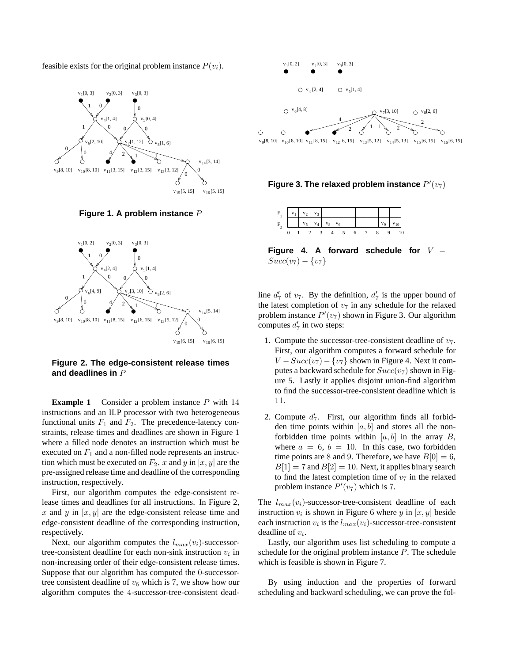feasible exists for the original problem instance  $P(v_i)$ .



**Figure 1. A problem instance** P



**Figure 2. The edge-consistent release times and deadlines in** P

**Example 1** Consider a problem instance P with 14 instructions and an ILP processor with two heterogeneous functional units  $F_1$  and  $F_2$ . The precedence-latency constraints, release times and deadlines are shown in Figure 1 where a filled node denotes an instruction which must be executed on  $F_1$  and a non-filled node represents an instruction which must be executed on  $F_2$ . x and y in  $[x, y]$  are the pre-assigned release time and deadline of the corresponding instruction, respectively.

First, our algorithm computes the edge-consistent release times and deadlines for all instructions. In Figure 2, x and y in  $[x, y]$  are the edge-consistent release time and edge-consistent deadline of the corresponding instruction, respectively.

Next, our algorithm computes the  $l_{max}(v_i)$ -successortree-consistent deadline for each non-sink instruction  $v_i$  in non-increasing order of their edge-consistent release times. Suppose that our algorithm has computed the 0-successortree consistent deadline of  $v_6$  which is 7, we show how our algorithm computes the 4-successor-tree-consistent dead-



Figure 3. The relaxed problem instance  $P'(v_7)$ 



**Figure 4. A forward schedule for** V −  $Succ(v_7) - \{v_7\}$ 

line  $d'_7$  of  $v_7$ . By the definition,  $d'_7$  is the upper bound of the latest completion of  $v_7$  in any schedule for the relaxed problem instance  $P'(v_7)$  shown in Figure 3. Our algorithm computes  $d'_7$  in two steps:

- 1. Compute the successor-tree-consistent deadline of  $v_7$ . First, our algorithm computes a forward schedule for  $V - Succ(v_7) - \{v_7\}$  shown in Figure 4. Next it computes a backward schedule for  $Succ(v_7)$  shown in Figure 5. Lastly it applies disjoint union-find algorithm to find the successor-tree-consistent deadline which is 11.
- 2. Compute  $d'_7$ . First, our algorithm finds all forbidden time points within  $[a, b]$  and stores all the nonforbidden time points within  $[a, b]$  in the array  $B$ , where  $a = 6$ ,  $b = 10$ . In this case, two forbidden time points are 8 and 9. Therefore, we have  $B[0] = 6$ ,  $B[1] = 7$  and  $B[2] = 10$ . Next, it applies binary search to find the latest completion time of  $v_7$  in the relaxed problem instance  $P'(v_7)$  which is 7.

The  $l_{max}(v_i)$ -successor-tree-consistent deadline of each instruction  $v_i$  is shown in Figure 6 where y in  $[x, y]$  beside each instruction  $v_i$  is the  $l_{max}(v_i)$ -successor-tree-consistent deadline of  $v_i$ .

Lastly, our algorithm uses list scheduling to compute a schedule for the original problem instance P. The schedule which is feasible is shown in Figure 7.

By using induction and the properties of forward scheduling and backward scheduling, we can prove the fol-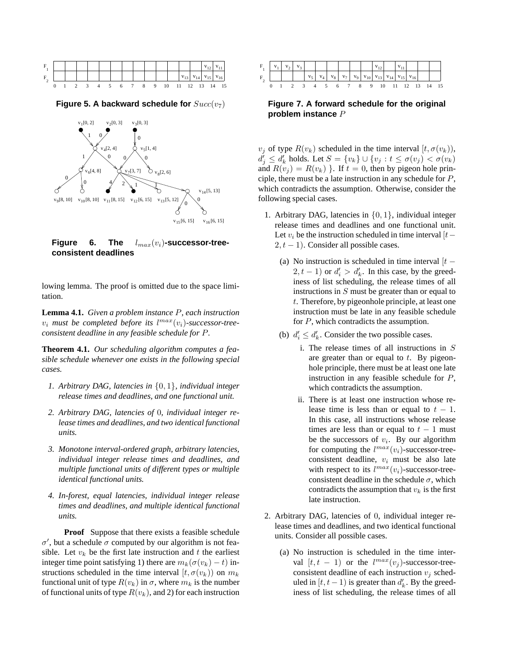

**Figure 5. A backward schedule for**  $Succ(v_7)$ 



Figure 6. The  $l_{max}(v_i)$ -successor-tree**consistent deadlines**

lowing lemma. The proof is omitted due to the space limitation.

**Lemma 4.1.** *Given a problem instance* P*, each instruction*  $v_i$  must be completed before its  $l^{max}(v_i)$ -successor-tree*consistent deadline in any feasible schedule for* P*.*

**Theorem 4.1.** *Our scheduling algorithm computes a feasible schedule whenever one exists in the following special cases.*

- *1. Arbitrary DAG, latencies in* {0, 1}*, individual integer release times and deadlines, and one functional unit.*
- *2. Arbitrary DAG, latencies of* 0*, individual integer release times and deadlines, and two identical functional units.*
- *3. Monotone interval-ordered graph, arbitrary latencies, individual integer release times and deadlines, and multiple functional units of different types or multiple identical functional units.*
- *4. In-forest, equal latencies, individual integer release times and deadlines, and multiple identical functional units.*

**Proof** Suppose that there exists a feasible schedule  $\sigma'$ , but a schedule  $\sigma$  computed by our algorithm is not feasible. Let  $v_k$  be the first late instruction and t the earliest integer time point satisfying 1) there are  $m_k(\sigma(v_k) - t)$  instructions scheduled in the time interval  $[t, \sigma(v_k))$  on  $m_k$ functional unit of type  $R(v_k)$  in  $\sigma$ , where  $m_k$  is the number of functional units of type  $R(v_k)$ , and 2) for each instruction



**Figure 7. A forward schedule for the original problem instance** P

 $v_i$  of type  $R(v_k)$  scheduled in the time interval  $[t, \sigma(v_k))$ ,  $d'_j \leq d'_k$  holds. Let  $S = \{v_k\} \cup \{v_j : t \leq \sigma(v_j) < \sigma(v_k)\}$ and  $R(v_i) = R(v_k)$ . If  $t = 0$ , then by pigeon hole principle, there must be a late instruction in any schedule for  $P$ , which contradicts the assumption. Otherwise, consider the following special cases.

- 1. Arbitrary DAG, latencies in  $\{0, 1\}$ , individual integer release times and deadlines and one functional unit. Let  $v_i$  be the instruction scheduled in time interval [t –  $2, t - 1$ ). Consider all possible cases.
	- (a) No instruction is scheduled in time interval  $[t (2, t-1)$  or  $d'_i > d'_k$ . In this case, by the greediness of list scheduling, the release times of all instructions in  $S$  must be greater than or equal to t. Therefore, by pigeonhole principle, at least one instruction must be late in any feasible schedule for P, which contradicts the assumption.
	- (b)  $d'_i \leq d'_k$ . Consider the two possible cases.
		- i. The release times of all instructions in S are greater than or equal to  $t$ . By pigeonhole principle, there must be at least one late instruction in any feasible schedule for  $P$ , which contradicts the assumption.
		- ii. There is at least one instruction whose release time is less than or equal to  $t - 1$ . In this case, all instructions whose release times are less than or equal to  $t - 1$  must be the successors of  $v_i$ . By our algorithm for computing the  $l^{max}(v_i)$ -successor-treeconsistent deadline,  $v_i$  must be also late with respect to its  $l^{max}(v_i)$ -successor-treeconsistent deadline in the schedule  $\sigma$ , which contradicts the assumption that  $v_k$  is the first late instruction.
- 2. Arbitrary DAG, latencies of 0, individual integer release times and deadlines, and two identical functional units. Consider all possible cases.
	- (a) No instruction is scheduled in the time interval  $[t, t - 1)$  or the  $l^{max}(v_j)$ -successor-treeconsistent deadline of each instruction  $v_i$  scheduled in  $[t, t-1)$  is greater than  $d'_{k}$ . By the greediness of list scheduling, the release times of all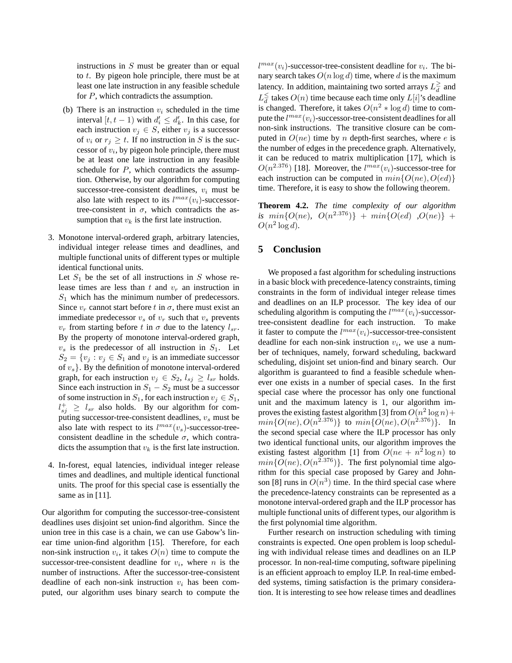instructions in  $S$  must be greater than or equal to t. By pigeon hole principle, there must be at least one late instruction in any feasible schedule for  $P$ , which contradicts the assumption.

- (b) There is an instruction  $v_i$  scheduled in the time interval  $[t, t - 1)$  with  $d'_i \leq d'_k$ . In this case, for each instruction  $v_j \in S$ , either  $v_j$  is a successor of  $v_i$  or  $r_i \geq t$ . If no instruction in S is the successor of  $v_i$ , by pigeon hole principle, there must be at least one late instruction in any feasible schedule for  $P$ , which contradicts the assumption. Otherwise, by our algorithm for computing successor-tree-consistent deadlines,  $v_i$  must be also late with respect to its  $l^{max}(v_i)$ -successortree-consistent in  $\sigma$ , which contradicts the assumption that  $v_k$  is the first late instruction.
- 3. Monotone interval-ordered graph, arbitrary latencies, individual integer release times and deadlines, and multiple functional units of different types or multiple identical functional units.

Let  $S_1$  be the set of all instructions in S whose release times are less than t and  $v_r$  an instruction in  $S_1$  which has the minimum number of predecessors. Since  $v_r$  cannot start before t in  $\sigma$ , there must exist an immediate predecessor  $v_s$  of  $v_r$  such that  $v_s$  prevents  $v_r$  from starting before t in  $\sigma$  due to the latency  $l_{sr}$ . By the property of monotone interval-ordered graph,  $v<sub>s</sub>$  is the predecessor of all instruction in  $S<sub>1</sub>$ . Let  $S_2 = \{v_j : v_j \in S_1 \text{ and } v_j \text{ is an immediate successor}\}\$ of  $v_s$ . By the definition of monotone interval-ordered graph, for each instruction  $v_j \in S_2$ ,  $l_{sj} \geq l_{sr}$  holds. Since each instruction in  $S_1 - S_2$  must be a successor of some instruction in  $S_1$ , for each instruction  $v_j \in S_1$ ,  $l_{sj}^+ \geq l_{sr}$  also holds. By our algorithm for computing successor-tree-consistent deadlines,  $v_s$  must be also late with respect to its  $l^{max}(v_s)$ -successor-treeconsistent deadline in the schedule  $\sigma$ , which contradicts the assumption that  $v_k$  is the first late instruction.

4. In-forest, equal latencies, individual integer release times and deadlines, and multiple identical functional units. The proof for this special case is essentially the same as in [11].

Our algorithm for computing the successor-tree-consistent deadlines uses disjoint set union-find algorithm. Since the union tree in this case is a chain, we can use Gabow's linear time union-find algorithm [15]. Therefore, for each non-sink instruction  $v_i$ , it takes  $O(n)$  time to compute the successor-tree-consistent deadline for  $v_i$ , where *n* is the number of instructions. After the successor-tree-consistent deadline of each non-sink instruction  $v_i$  has been computed, our algorithm uses binary search to compute the

 $l^{max}(v_i)$ -successor-tree-consistent deadline for  $v_i$ . The binary search takes  $O(n \log d)$  time, where d is the maximum latency. In addition, maintaining two sorted arrays  $L_d^{\geq}$  and  $L_d^{\leq}$  takes  $O(n)$  time because each time only  $L[i]$ 's deadline is changed. Therefore, it takes  $O(n^2 * \log d)$  time to compute the  $l^{max}(v_i)$ -successor-tree-consistent deadlines for all non-sink instructions. The transitive closure can be computed in  $O(ne)$  time by n depth-first searches, where e is the number of edges in the precedence graph. Alternatively, it can be reduced to matrix multiplication [17], which is  $O(n^{2.376})$  [18]. Moreover, the  $l^{max}(v_i)$ -successor-tree for each instruction can be computed in  $min\{O(ne), O(ed)\}$ time. Therefore, it is easy to show the following theorem.

**Theorem 4.2.** *The time complexity of our algorithm*  $is \ min\{O(ne), O(n^{2.376})\} + min\{O(ed), O(ne)\} +$  $O(n^2 \log d)$ .

### **5 Conclusion**

We proposed a fast algorithm for scheduling instructions in a basic block with precedence-latency constraints, timing constraints in the form of individual integer release times and deadlines on an ILP processor. The key idea of our scheduling algorithm is computing the  $l^{max}(v_i)$ -successortree-consistent deadline for each instruction. To make it faster to compute the  $l^{max}(v_i)$ -successor-tree-consistent deadline for each non-sink instruction  $v_i$ , we use a number of techniques, namely, forward scheduling, backward scheduling, disjoint set union-find and binary search. Our algorithm is guaranteed to find a feasible schedule whenever one exists in a number of special cases. In the first special case where the processor has only one functional unit and the maximum latency is 1, our algorithm improves the existing fastest algorithm [3] from  $O(n^2 \log n)$  +  $min\{O(ne), O(n^{2.376})\}$  to  $min\{O(ne), O(n^{2.376})\}$ . In the second special case where the ILP processor has only two identical functional units, our algorithm improves the existing fastest algorithm [1] from  $O(ne + n^2 \log n)$  to  $min\{O(ne), O(n^{2.376})\}$ . The first polynomial time algorithm for this special case proposed by Garey and Johnson [8] runs in  $O(n^3)$  time. In the third special case where the precedence-latency constraints can be represented as a monotone interval-ordered graph and the ILP processor has multiple functional units of different types, our algorithm is the first polynomial time algorithm.

Further research on instruction scheduling with timing constraints is expected. One open problem is loop scheduling with individual release times and deadlines on an ILP processor. In non-real-time computing, software pipelining is an efficient approach to employ ILP. In real-time embedded systems, timing satisfaction is the primary consideration. It is interesting to see how release times and deadlines